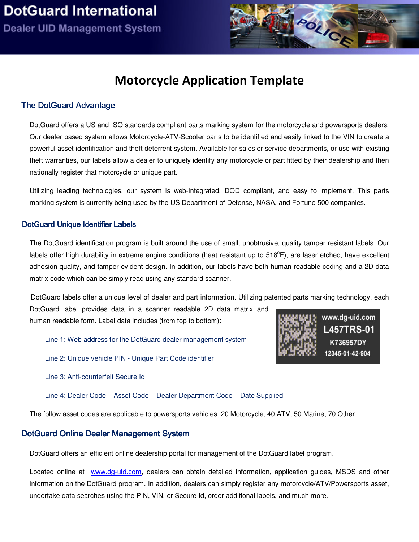

# Motorcycle Application Template

### The D otG uard Advantage

DotGuard offers a US and ISO standards compliant parts marking system for the motorcycle and powersports dealers. Our dealer based system allows Motorcycle-ATV-Scooter parts to be identified and easily linked to the VIN to create a powerful asset identification and theft deterrent system. Available for sales or service departments, or use with existing theft warranties, our labels allow a dealer to uniquely identify any motorcycle or part fitted by their dealership and then nationally register that motorcycle or unique part.

Utilizing leading technologies, our system is web-integrated, DOD compliant, and easy to implement. This parts marking system is currently being used by the US Department of Defense, NASA, and Fortune 500 companies.

#### DotGuard Unique Identifier Labels

The DotGuard identification program is built around the use of small, unobtrusive, quality tamper resistant labels. Our labels offer high durability in extreme engine conditions (heat resistant up to 518°F), are laser etched, have excellent adhesion quality, and tamper evident design. In addition, our labels have both human readable coding and a 2D data matrix code which can be simply read using any standard scanner.

DotGuard labels offer a unique level of dealer and part information. Utilizing patented parts marking technology, each

DotGuard label provides data in a scanner readable 2D data matrix and human readable form. Label data includes (from top to bottom):

Line 1: Web address for the DotGuard dealer management system

Line 2: Unique vehicle PIN - Unique Part Code identifier

Line 3: Anti-counterfeit Secure Id

Line 4: Dealer Code – Asset Code – Dealer Department Code – Date Supplied

The follow asset codes are applicable to powersports vehicles: 20 Motorcycle; 40 ATV; 50 Marine; 70 Other

#### DotGuard Online Dealer Management System

DotGuard offers an efficient online dealership portal for management of the DotGuard label program.

Located online at www.dg-uid.com, dealers can obtain detailed information, application guides, MSDS and other information on the DotGuard program. In addition, dealers can simply register any motorcycle/ATV/Powersports asset, undertake data searches using the PIN, VIN, or Secure Id, order additional labels, and much more.

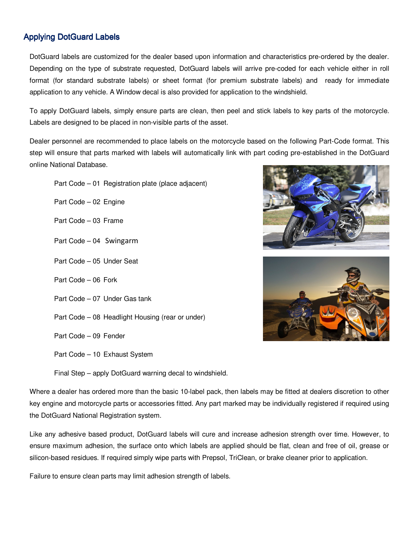## **Applying DotGuard Labels**

DotGuard labels are customized for the dealer based upon information and characteristics pre-ordered by the dealer. Depending on the type of substrate requested, DotGuard labels will arrive pre-coded for each vehicle either in roll format (for standard substrate labels) or sheet format (for premium substrate labels) and ready for immediate application to any vehicle. A Window decal is also provided for application to the windshield.

To apply DotGuard labels, simply ensure parts are clean, then peel and stick labels to key parts of the motorcycle. Labels are designed to be placed in non-visible parts of the asset.

Dealer personnel are recommended to place labels on the motorcycle based on the following Part-Code format. This step will ensure that parts marked with labels will automatically link with part coding pre-established in the DotGuard online National Database.

Part Code – 01 Registration plate (place adjacent)

Part Code – 02 Engine

Part Code – 03 Frame

- Part Code 04 Swingarm
- Part Code 05 Under Seat
- Part Code 06 Fork
- Part Code 07 Under Gas tank
- Part Code 08 Headlight Housing (rear or under)
- Part Code 09 Fender
- Part Code 10 Exhaust System





Final Step – apply DotGuard warning decal to windshield.

Where a dealer has ordered more than the basic 10-label pack, then labels may be fitted at dealers discretion to other key engine and motorcycle parts or accessories fitted. Any part marked may be individually registered if required using the DotGuard National Registration system.

Like any adhesive based product, DotGuard labels will cure and increase adhesion strength over time. However, to ensure maximum adhesion, the surface onto which labels are applied should be flat, clean and free of oil, grease or silicon-based residues. If required simply wipe parts with Prepsol, TriClean, or brake cleaner prior to application.

Failure to ensure clean parts may limit adhesion strength of labels.